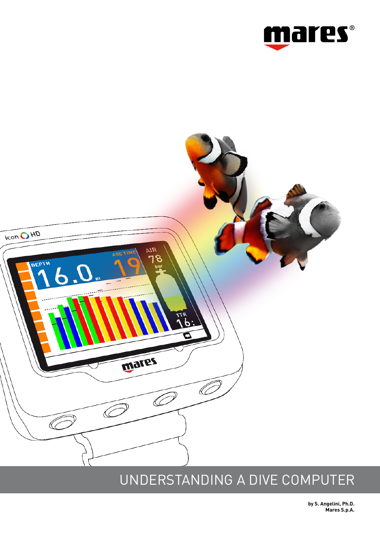



# UNDERSTANDING A DIVE COMPUTER

**by S. Angelini, Ph.D. Mares S.p.A.**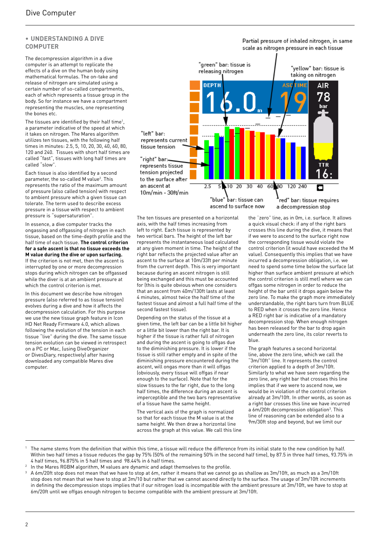## **• UNDERSTANDING A DIVE COMPUTER**

The decompression algorithm in a dive computer is an attempt to replicate the effects of a dive on the human body using mathematical formulas. The on-take and release of nitrogen are simulated using a certain number of so-called compartments, each of which represents a tissue group in the body. So for instance we have a compartment representing the muscles, one representing the bones etc.

The tissues are identified by their half time<sup>1</sup>, a parameter indicative of the speed at which it takes on nitrogen. The Mares algorithm utilizes ten tissues, with the following half times in minutes: 2.5, 5, 10, 20, 30, 40, 60, 80, 120 and 240. Tissues with short half times are called "fast", tissues with long half times are called "slow".

Each tissue is also identified by a second parameter, the so-called M value<sup>2</sup>. This represents the ratio of the maximum amount of pressure (also called tension) with respect to ambient pressure which a given tissue can tolerate. The term used to describe excess pressure in a tissue with respect to ambient pressure is "supersaturation".

In essence, a dive computer tracks the ongassing and offgassing of nitrogen in each tissue, based on the time-depth profile and the half time of each tissue. **The control criterion for a safe ascent is that no tissue exceeds the M value during the dive or upon surfacing.** If the criterion is not met, then the ascent is interrupted by one or more decompression stops during which nitrogen can be offgassed while the diver is at an ambient pressure at

which the control criterion is met.

In this document we describe how nitrogen pressure (also referred to as tissue tension) evolves during a dive and how it affects the decompression calculation. For this purpose we use the new tissue graph feature in Icon HD Net Ready Firmware 4.0, which allows following the evolution of the tension in each tissue "live" during the dive. The same tissue tension evolution can be viewed in retrospect on a PC or Mac, (using DiveOrganizer or DivesDiary, respectively) after having downloaded any compatible Mares dive computer.



#### Partial pressure of inhaled nitrogen, in same scale as nitrogen pressure in each tissue



axis, with the half times increasing from left to right. Each tissue is represented by two vertical bars. The height of the left bar represents the instantaneous load calculated at any given moment in time. The height of the right bar reflects the projected value after an ascent to the surface at 10m/33ft per minute from the current depth. This is very important because during an ascent nitrogen is still being exchanged and this must be accounted for (this is quite obvious when one considers that an ascent from 40m/130ft lasts at least 4 minutes, almost twice the half time of the fastest tissue and almost a full half time of the second fastest tissue).

Depending on the status of the tissue at a given time, the left bar can be a little bit higher or a little bit lower than the right bar. It is higher if the tissue is rather full of nitrogen and during the ascent is going to offgas due to the diminishing pressure. It is lower if the tissue is still rather empty and in spite of the diminishing pressure encountered during the ascent, will ongas more than it will offgas (obviously, every tissue will offgas if near enough to the surface). Note that for the slow tissues to the far right, due to the long half times, the difference during an ascent is imperceptible and the two bars representative of a tissue have the same height.

The vertical axis of the graph is normalized so that for each tissue the M value is at the same height. We then draw a horizontal line across the graph at this value. We call this line the "zero" line, as in 0m, i.e. surface. It allows a quick visual check: if any of the right bars crosses this line during the dive, it means that if we were to ascend to the surface right now the corresponding tissue would violate the control criterion (it would have exceeded the M value). Consequently this implies that we have incurred a decompression obligation, i.e. we need to spend some time below the surface (at higher than surface ambient pressure at which the control criterion is still met) where we can offgas some nitrogen in order to reduce the height of the bar until it drops again below the zero line. To make the graph more immediately understandable, the right bars turn from BLUE to RED when it crosses the zero line. Hence a RED right bar is indicative of a mandatory decompression stop. When enough nitrogen has been released for the bar to drop again underneath the zero line, its color reverts to blue.

The graph features a second horizontal line, above the zero line, which we call the "3m/10ft" line. It represents the control criterion applied to a depth of 3m/10ft. Similarly to what we have seen regarding the zero line, any right bar that crosses this line implies that if we were to ascend now, we would be in violation of the control criterion already at 3m/10ft. In other words, as soon as a right bar crosses this line we have incurred a 6m/20ft decompression obligation<sup>3</sup>. This line of reasoning can be extended also to a 9m/30ft stop and beyond, but we limit our

- The name stems from the definition that within this time, a tissue will reduce the difference from its initial state to the new condition by half. Within two half times a tissue reduces the gap by 75% (50% of the remaining 50% in the second half time), by 87.5 in three half times, 93.75% in 4 half times, 96.875% in 5 half times and 98.44% in 6 half times.
- <sup>2</sup> In the Mares RGBM algorithm, M values are dynamic and adapt themselves to the profile.
- <sup>3</sup> A 6m/20ft stop does not mean that we have to stop at 6m, rather it means that we cannot go as shallow as 3m/10ft, as much as a 3m/10ft stop does not mean that we have to stop at 3m/10 but rather that we cannot ascend directly to the surface. The usage of 3m/10ft increments in defining the decompression stops implies that if our nitrogen load is incompatible with the ambient pressure at 3m/10ft, we have to stop at 6m/20ft until we offgas enough nitrogen to become compatible with the ambient pressure at 3m/10ft.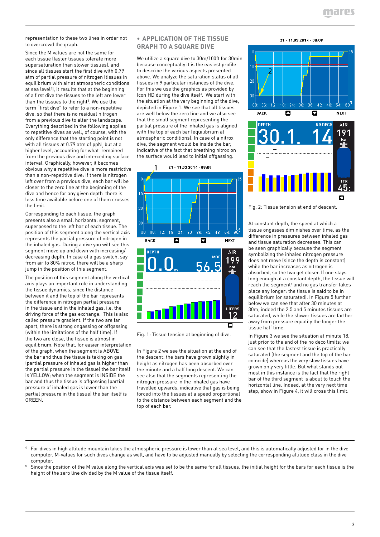representation to these two lines in order not to overcrowd the graph.

Since the M values are not the same for each tissue (faster tissues tolerate more supersaturation than slower tissues), and since all tissues start the first dive with 0.79 atm of partial pressure of nitrogen (tissues in equilibrium with air at atmospheric conditions at sea level<sup>4</sup>), it results that at the beginning of a first dive the tissues to the left are lower than the tissues to the right<sup>5</sup>. We use the term "first dive" to refer to a non-repetitive dive, so that there is no residual nitrogen from a previous dive to alter the landscape. Everything described in the following applies to repetitive dives as well, of course, with the only difference that the starting point is not with all tissues at 0.79 atm of ppN<sub>2</sub> but at a higher level, accounting for what remained from the previous dive and interceding surface interval. Graphically, however, it becomes obvious why a repetitive dive is more restrictive than a non-repetitive dive: if there is nitrogen left over from a previous dive, each bar will be closer to the zero line at the beginning of the dive and hence for any given depth there is less time available before one of them crosses the limit.

Corresponding to each tissue, the graph presents also a small horizontal segment, superposed to the left bar of each tissue. The position of this segment along the vertical axis represents the partial pressure of nitrogen in the inhaled gas. During a dive you will see this segment move up and down with increasing/ decreasing depth. In case of a gas switch, say from air to 80% nitrox, there will be a sharp jump in the position of this segment.

The position of this segment along the vertical axis plays an important role in understanding the tissue dynamics, since the distance between it and the top of the bar represents the difference in nitrogen partial pressure in the tissue and in the inhaled gas, i.e. the driving force of the gas exchange. This is also called pressure gradient. If the two are far apart, there is strong ongassing or offgassing (within the limitations of the half time). If the two are close, the tissue is almost in equilibrium. Note that, for easier interpretation of the graph, when the segment is ABOVE the bar and thus the tissue is taking on gas (partial pressure of inhaled gas is higher than the partial pressure in the tissue) the bar itself is YELLOW; when the segment is INSIDE the bar and thus the tissue is offgassing (partial pressure of inhaled gas is lower than the partial pressure in the tissue) the bar itself is GREEN.

## **• APPLICATION OF THE TISSUE GRAPH TO A SQUARE DIVE**

We utilize a square dive to 30m/100ft for 30min because conceptually it is the easiest profile to describe the various aspects presented above. We analyze the saturation status of all tissues in 9 particular instances of the dive. For this we use the graphics as provided by Icon HD during the dive itself. We start with the situation at the very beginning of the dive, depicted in Figure 1. We see that all tissues are well below the zero line and we also see that the small segment representing the partial pressure of the inhaled gas is aligned with the top of each bar (equilibrium at atmospheric conditions). In case of a nitrox dive, the segment would be inside the bar, indicative of the fact that breathing nitrox on the surface would lead to initial offgassing.

21 - 11.03.2014 - 08:09

1





Fig. 1: Tissue tension at beginning of dive.

In Figure 2 we see the situation at the end of the descent: the bars have grown slightly in height as nitrogen has been absorbed over the minute and a half long descent. We can see also that the segments representing the nitrogen pressure in the inhaled gas have travelled upwards, indicative that gas is being forced into the tissues at a speed proportional to the distance between each segment and the top of each bar.

21 - 11.03.2014 - 08:09





Fig. 2: Tissue tension at end of descent.

At constant depth, the speed at which a tissue ongasses diminishes over time, as the difference in pressures between inhaled gas and tissue saturation decreases. This can be seen graphically because the segment symbolizing the inhaled nitrogen pressure does not move (since the depth is constant) while the bar increases as nitrogen is absorbed, so the two get closer. If one stays long enough at a constant depth, the tissue will reach the segment $6$  and no gas transfer takes place any longer: the tissue is said to be in equilibrium (or saturated). In Figure 5 further below we can see that after 30 minutes at 30m, indeed the 2.5 and 5 minutes tissues are saturated, while the slower tissues are farther away from pressure equality the longer the tissue half time.

In Figure 3 we see the situation at minute 18, just prior to the end of the no deco limits: we can see that the fastest tissue is practically saturated (the segment and the top of the bar coincide) whereas the very slow tissues have grown only very little. But what stands out most in this instance is the fact that the right bar of the third segment is about to touch the horizontal line. Indeed, at the very next time step, show in Figure 4, it will cross this limit.

<sup>4</sup> For dives in high altitude mountain lakes the atmospheric pressure is lower than at sea level, and this is automatically adjusted for in the dive computer. M-values for such dives change as well, and have to be adjusted manually by selecting the corresponding altitude class in the dive computer.

<sup>5</sup> Since the position of the M value along the vertical axis was set to be the same for all tissues, the initial height for the bars for each tissue is the height of the zero line divided by the M value of the tissue itself.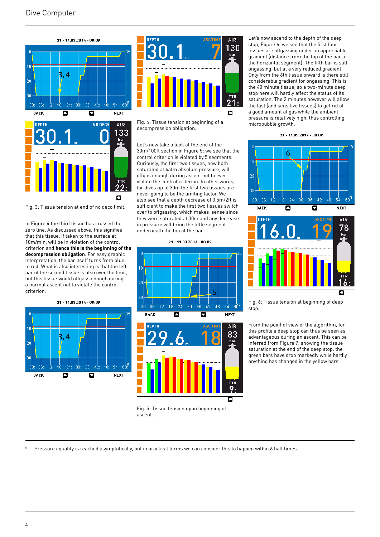



Fig. 3: Tissue tension at end of no deco limit.

In Figure 4 the third tissue has crossed the zero line. As discussed above, this signifies that this tissue, if taken to the surface at 10m/min, will be in violation of the control criterion and **hence this is the beginning of the decompression obligation**. For easy graphic interpretation, the bar itself turns from blue to red. What is also interesting is that the left bar of the second tissue is also over the limit, but this tissue would offgass enough during a normal ascent not to violate the control criterion.





Fig. 4: Tissue tension at beginning of a decompression obligation.

Let's now take a look at the end of the 30m/100ft section in Figure 5: we see that the control criterion is violated by 5 segments. Curiously, the first two tissues, now both saturated at 4atm absolute pressure, will offgas enough during ascent not to ever violate the control criterion. In other words, for dives up to 30m the first two tissues are never going to be the limiting factor. We also see that a depth decrease of 0.5m/2ft is sufficient to make the first two tissues switch over to offgassing, which makes sense since they were saturated at 30m and any decrease in pressure will bring the little segment underneath the top of the bar.







Fig. 5: Tissue tension upon beginning of ascent.

Let's now ascend to the depth of the deep stop, Figure 6: we see that the first four tissues are offgassing under an appreciable gradient (distance from the top of the bar to the horizontal segment). The fifth bar is still ongassing, but at a very reduced gradient. Only from the 6th tissue onward is there still considerable gradient for ongassing. This is the 40 minute tissue, so a two-minute deep stop here will hardly affect the status of its saturation. The 2 minutes however will allow the fast (and sensitive tissues) to get rid of a good amount of gas while the ambient pressure is relatively high, thus controlling microbubble growth.

21 - 11.03.2014 - 08:09





Fig. 6: Tissue tension at beginning of deep stop.

From the point of view of the algorithm, for this profile a deep stop can thus be seen as advantageous during an ascent. This can be inferred from Figure 7, showing the tissue saturation at the end of the deep stop: the green bars have drop markedly while hardly anything has changed in the yellow bars.

Pressure equality is reached asymptotically, but in practical terms we can consider this to happen within 6 half times.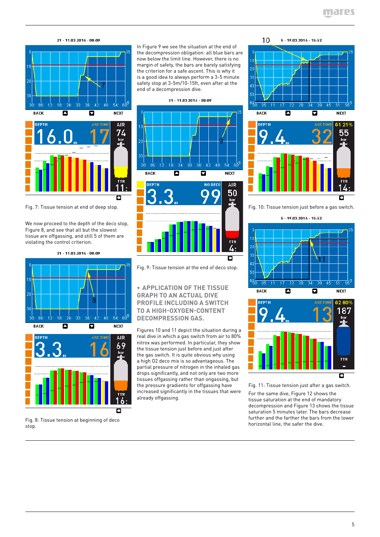



Fig. 7: Tissue tension at end of deep stop.

We now proceed to the depth of the deco stop, Figure 8, and see that all but the slowest tissue are offgassing, and still 5 of them are violating the control criterion.

21 - 11.03.2014 - 08:09



Fig. 8: Tissue tension at beginning of deco stop.

In Figure 9 we see the situation at the end of the decompression obligation: all blue bars are now below the limit line. However, there is no margin of safety, the bars are barely satisfying the criterion for a safe ascent. This is why it is a good idea to always perform a 3-5 minute safety stop at 3-5m/10-15ft, even after at the end of a decompression dive.

21 - 11.03.2014 - 08:09



Fig. 9: Tissue tension at the end of deco stop.

**• APPLICATION OF THE TISSUE GRAPH TO AN ACTUAL DIVE PROFILE INCLUDING A SWITCH TO A HIGH-OXYGEN-CONTENT DECOMPRESSION GAS.**

Figures 10 and 11 depict the situation during a real dive in which a gas switch from air to 80% nitrox was performed. In particular, they show the tissue tension just before and just after the gas switch. It is quite obvious why using a high O2 deco mix is so advantageous. The partial pressure of nitrogen in the inhaled gas drops significantly, and not only are two more tissues offgassing rather than ongassing, but the pressure gradients for offgassing have increased significantly in the tissues that were already offgassing.





Fig. 10: Tissue tension just before a gas switch.

 $5 - 19.03.2014 - 15:52$ 





Fig. 11: Tissue tension just after a gas switch.

For the same dive, Figure 12 shows the tissue saturation at the end of mandatory decompression and Figure 13 shows the tissue saturation 5 minutes later. The bars decrease further and the farther the bars from the lower horizontal line, the safer the dive.